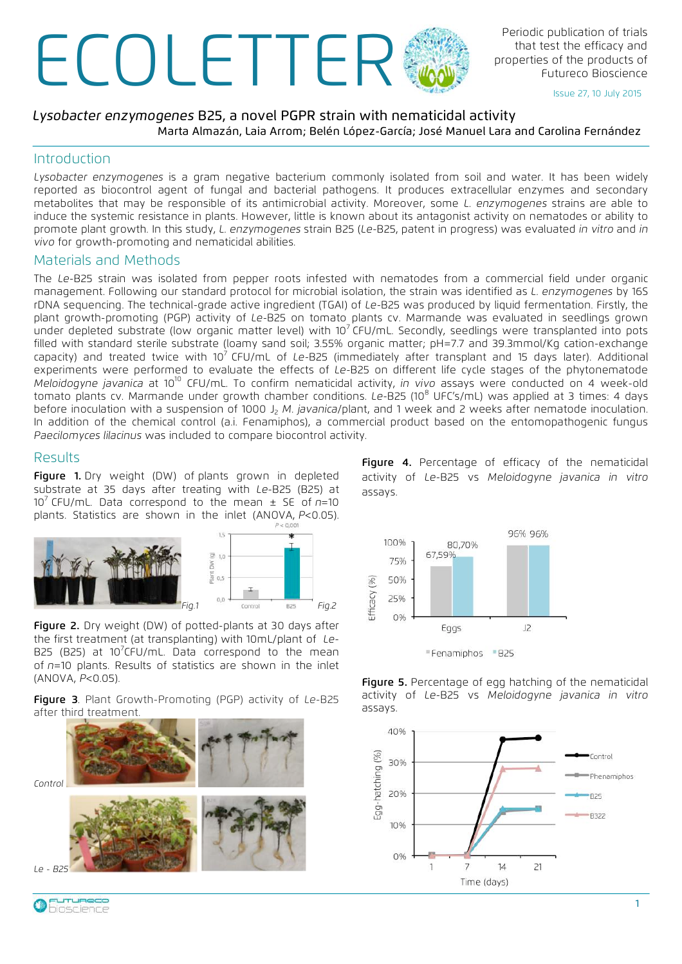# Periodic publication of trials<br>that test the efficacy and<br>properties of the products of<br>Futureco Bioscience

that test the efficacy and properties of the products of Futureco Bioscience

Issue 27, 10 July 2015

## *Lysobacter enzymogenes* B25, a novel PGPR strain with nematicidal activity Marta Almazán, Laia Arrom; Belén López-García; José Manuel Lara and Carolina Fernández

## Introduction

*Lysobacter enzymogenes* is a gram negative bacterium commonly isolated from soil and water. It has been widely reported as biocontrol agent of fungal and bacterial pathogens. It produces extracellular enzymes and secondary metabolites that may be responsible of its antimicrobial activity. Moreover, some *L. enzymogenes* strains are able to induce the systemic resistance in plants. However, little is known about its antagonist activity on nematodes or ability to promote plant growth. In this study, *L. enzymogenes* strain B25 (*Le-*B25, patent in progress) was evaluated *in vitro* and *in vivo* for growth-promoting and nematicidal abilities.

## Materials and Methods

The *Le-*B25 strain was isolated from pepper roots infested with nematodes from a commercial field under organic management. Following our standard protocol for microbial isolation, the strain was identified as *L. enzymogenes* by 16S rDNA sequencing. The technical-grade active ingredient (TGAI) of *Le-*B25 was produced by liquid fermentation. Firstly, the plant growth-promoting (PGP) activity of *Le-*B25 on tomato plants cv. Marmande was evaluated in seedlings grown under depleted substrate (low organic matter level) with 10<sup>7</sup> CFU/mL. Secondly, seedlings were transplanted into pots filled with standard sterile substrate (loamy sand soil; 3.55% organic matter; pH=7.7 and 39.3mmol/Kg cation-exchange capacity) and treated twice with 107 CFU/mL of *Le-*B25 (immediately after transplant and 15 days later). Additional experiments were performed to evaluate the effects of *Le-*B25 on different life cycle stages of the phytonematode *Meloidogyne javanica* at 1010 CFU/mL. To confirm nematicidal activity, *in vivo* assays were conducted on 4 week-old tomato plants cv. Marmande under growth chamber conditions. *Le-B25* (10<sup>8</sup> UFC's/mL) was applied at 3 times: 4 days before inoculation with a suspension of 1000 J<sub>2</sub> *M. javanica*/plant, and 1 week and 2 weeks after nematode inoculation. In addition of the chemical control (a.i. Fenamiphos), a commercial product based on the entomopathogenic fungus *Paecilomyces lilacinus* was included to compare biocontrol activity.

# Results

Figure 1. Dry weight (DW) of plants grown in depleted substrate at 35 days after treating with *Le*-B25 (B25) at 10<sup>7</sup> CFU/mL. Data correspond to the mean  $\pm$  SE of  $n=10$ plants. Statistics are shown in the inlet (ANOVA, *P*<0.05).



Figure 2. Dry weight (DW) of potted-plants at 30 days after the first treatment (at transplanting) with 10mL/plant of *Le*-B25 (B25) at 10<sup>7</sup>CFU/mL. Data correspond to the mean of *n*=10 plants. Results of statistics are shown in the inlet (ANOVA, *P*<0.05).

Figure 3. Plant Growth-Promoting (PGP) activity of *Le*-B25 after third treatment.





Figure 4. Percentage of efficacy of the nematicidal activity of *Le*-B25 vs *Meloidogyne javanica in vitro* assays.